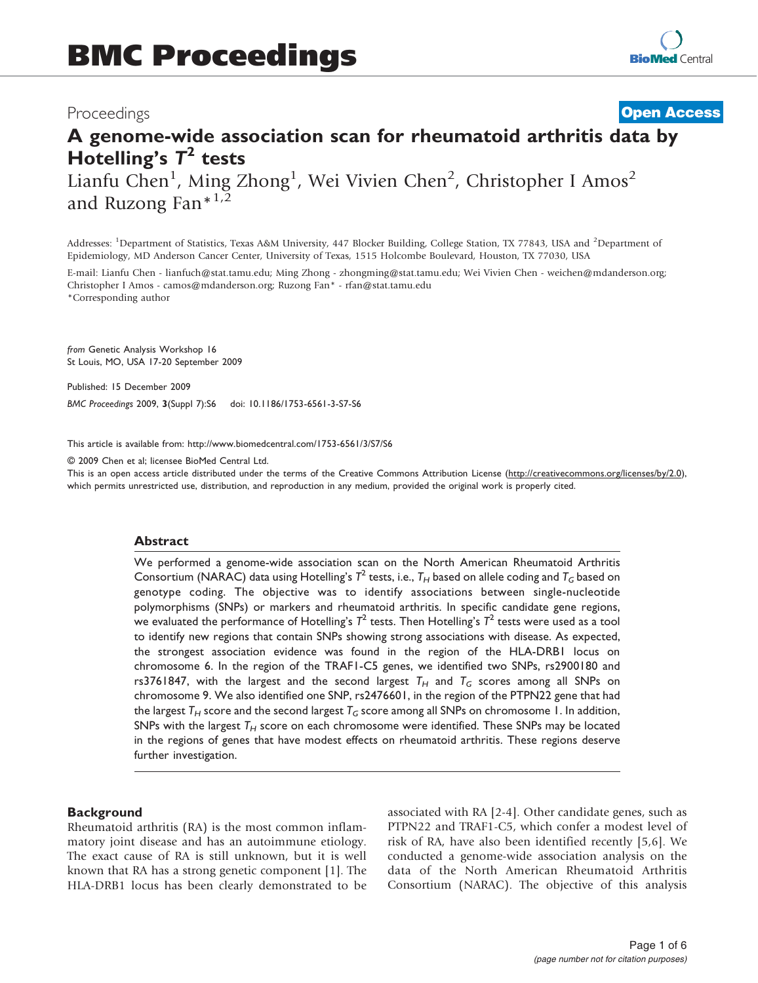# Proceedings

# **[Open Access](http://www.biomedcentral.com/info/about/charter/)**

# A genome-wide association scan for rheumatoid arthritis data by Hotelling's  $T^2$  tests

Lianfu Chen<sup>1</sup>, Ming Zhong<sup>1</sup>, Wei Vivien Chen<sup>2</sup>, Christopher I Amos<sup>2</sup> and Ruzong Fan $*^{1,2}$ 

Addresses: <sup>1</sup>Department of Statistics, Texas A&M University, 447 Blocker Building, College Station, TX 77843, USA and <sup>2</sup>Department of Epidemiology, MD Anderson Cancer Center, University of Texas, 1515 Holcombe Boulevard, Houston, TX 77030, USA

E-mail: Lianfu Chen - [lianfuch@stat.tamu.edu](mailto:lianfuch@stat.tamu.edu); Ming Zhong - [zhongming@stat.tamu.edu;](mailto:zhongming@stat.tamu.edu) Wei Vivien Chen - [weichen@mdanderson.org;](mailto:weichen@mdanderson.org) Christopher I Amos - [camos@mdanderson.org](mailto:camos@mdanderson.org); Ruzong Fan\* - [rfan@stat.tamu.edu](mailto:rfan@stat.tamu.edu) \*Corresponding author

from Genetic Analysis Workshop 16 St Louis, MO, USA 17-20 September 2009

Published: 15 December 2009

BMC Proceedings 2009, 3(Suppl 7):S6 doi: 10.1186/1753-6561-3-S7-S6

This article is available from: http://www.biomedcentral.com/1753-6561/3/S7/S6

© 2009 Chen et al; licensee BioMed Central Ltd.

This is an open access article distributed under the terms of the Creative Commons Attribution License [\(http://creativecommons.org/licenses/by/2.0\)](http://creativecommons.org/licenses/by/2.0), which permits unrestricted use, distribution, and reproduction in any medium, provided the original work is properly cited.

#### **Abstract**

We performed a genome-wide association scan on the North American Rheumatoid Arthritis Consortium (NARAC) data using Hotelling's  $T^2$  tests, i.e.,  $T_H$  based on allele coding and  $T_G$  based on genotype coding. The objective was to identify associations between single-nucleotide polymorphisms (SNPs) or markers and rheumatoid arthritis. In specific candidate gene regions, we evaluated the performance of Hotelling's  $T^2$  tests. Then Hotelling's  $T^2$  tests were used as a tool to identify new regions that contain SNPs showing strong associations with disease. As expected, the strongest association evidence was found in the region of the HLA-DRB1 locus on chromosome 6. In the region of the TRAF1-C5 genes, we identified two SNPs, rs2900180 and rs3761847, with the largest and the second largest  $T_H$  and  $T_G$  scores among all SNPs on chromosome 9. We also identified one SNP, rs2476601, in the region of the PTPN22 gene that had the largest  $T_H$  score and the second largest  $T_G$  score among all SNPs on chromosome 1. In addition, SNPs with the largest  $T_H$  score on each chromosome were identified. These SNPs may be located in the regions of genes that have modest effects on rheumatoid arthritis. These regions deserve further investigation.

# **Background**

Rheumatoid arthritis (RA) is the most common inflammatory joint disease and has an autoimmune etiology. The exact cause of RA is still unknown, but it is well known that RA has a strong genetic component [\[1\]](#page-5-0). The HLA-DRB1 locus has been clearly demonstrated to be associated with RA [[2-4\]](#page-5-0). Other candidate genes, such as PTPN22 and TRAF1-C5, which confer a modest level of risk of RA, have also been identified recently [\[5,6](#page-5-0)]. We conducted a genome-wide association analysis on the data of the North American Rheumatoid Arthritis Consortium (NARAC). The objective of this analysis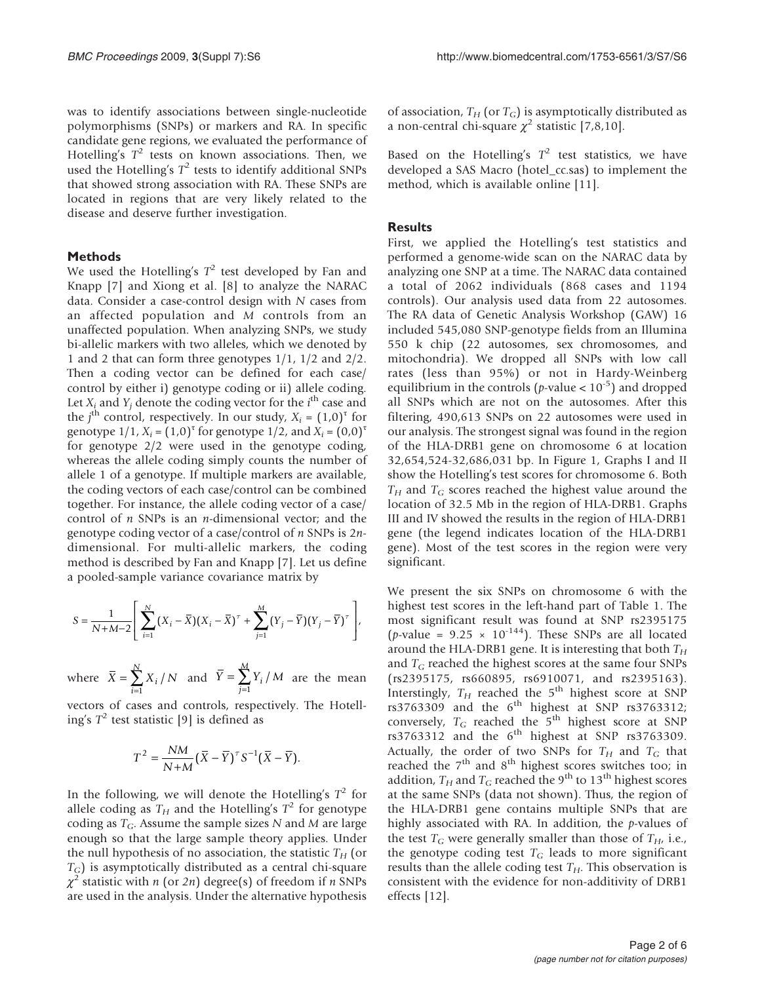was to identify associations between single-nucleotide polymorphisms (SNPs) or markers and RA. In specific candidate gene regions, we evaluated the performance of Hotelling's  $T^2$  tests on known associations. Then, we used the Hotelling's  $T^2$  tests to identify additional SNPs that showed strong association with RA. These SNPs are located in regions that are very likely related to the disease and deserve further investigation.

## Methods

We used the Hotelling's  $T^2$  test developed by Fan and Knapp [[7](#page-5-0)] and Xiong et al. [[8](#page-5-0)] to analyze the NARAC data. Consider a case-control design with N cases from an affected population and M controls from an unaffected population. When analyzing SNPs, we study bi-allelic markers with two alleles, which we denoted by 1 and 2 that can form three genotypes 1/1, 1/2 and 2/2. Then a coding vector can be defined for each case/ control by either i) genotype coding or ii) allele coding. Let  $X_i$  and  $Y_j$  denote the coding vector for the *i*<sup>th</sup> case and the  $j^{\text{th}}$  control, respectively. In our study,  $X_i = (1,0)^{\tau}$  for genotype  $1/1$ ,  $X_i = (1,0)^T$  for genotype  $1/2$ , and  $X_i = (0,0)^T$ for genotype 2/2 were used in the genotype coding, whereas the allele coding simply counts the number of allele 1 of a genotype. If multiple markers are available, the coding vectors of each case/control can be combined together. For instance, the allele coding vector of a case/ control of  $n$  SNPs is an  $n$ -dimensional vector; and the genotype coding vector of a case/control of n SNPs is 2ndimensional. For multi-allelic markers, the coding method is described by Fan and Knapp [[7](#page-5-0)]. Let us define a pooled-sample variance covariance matrix by

$$
S = \frac{1}{N+M-2} \left[ \sum_{i=1}^{N} (X_i - \overline{X})(X_i - \overline{X})^{\tau} + \sum_{j=1}^{M} (Y_j - \overline{Y})(Y_j - \overline{Y})^{\tau} \right],
$$

where  $X = \sum_{i=1}^{n} X_i / N$  $=\sum_{n=1}^{N}$  $\sum_{i=1} X_i$  / and  $Y = \sum_{j=1}^{n} Y_i / M$  $=\sum_{i=1}^{n}$  $\sum_{j=1} Y_i$ are the mean

vectors of cases and controls, respectively. The Hotelling's  $T^2$  test statistic [\[9\]](#page-5-0) is defined as

$$
T^2 = \frac{NM}{N+M}(\overline{X} - \overline{Y})^{\tau} S^{-1}(\overline{X} - \overline{Y}).
$$

In the following, we will denote the Hotelling's  $T^2$  for allele coding as  $T_H$  and the Hotelling's  $T^2$  for genotype coding as  $T_G$ . Assume the sample sizes N and M are large enough so that the large sample theory applies. Under the null hypothesis of no association, the statistic  $T_H$  (or  $T_G$ ) is asymptotically distributed as a central chi-square  $\chi^2$  statistic with n (or 2n) degree(s) of freedom if n SNPs are used in the analysis. Under the alternative hypothesis of association,  $T_H$  (or  $T_G$ ) is asymptotically distributed as a non-central chi-square  $\chi^2$  statistic [[7](#page-5-0),[8](#page-5-0),[10\]](#page-5-0).

Based on the Hotelling's  $T^2$  test statistics, we have developed a SAS Macro (hotel\_cc.sas) to implement the method, which is available online [[11\]](#page-5-0).

# **Results**

First, we applied the Hotelling's test statistics and performed a genome-wide scan on the NARAC data by analyzing one SNP at a time. The NARAC data contained a total of 2062 individuals (868 cases and 1194 controls). Our analysis used data from 22 autosomes. The RA data of Genetic Analysis Workshop (GAW) 16 included 545,080 SNP-genotype fields from an Illumina 550 k chip (22 autosomes, sex chromosomes, and mitochondria). We dropped all SNPs with low call rates (less than 95%) or not in Hardy-Weinberg equilibrium in the controls ( $p$ -value <  $10^{-5}$ ) and dropped all SNPs which are not on the autosomes. After this filtering, 490,613 SNPs on 22 autosomes were used in our analysis. The strongest signal was found in the region of the HLA-DRB1 gene on chromosome 6 at location 32,654,524-32,686,031 bp. In Figure [1,](#page-2-0) Graphs I and II show the Hotelling's test scores for chromosome 6. Both  $T_H$  and  $T_G$  scores reached the highest value around the location of 32.5 Mb in the region of HLA-DRB1. Graphs III and IV showed the results in the region of HLA-DRB1 gene (the legend indicates location of the HLA-DRB1 gene). Most of the test scores in the region were very significant.

We present the six SNPs on chromosome 6 with the highest test scores in the left-hand part of Table [1](#page-3-0). The most significant result was found at SNP rs2395175 (*p*-value =  $9.25 \times 10^{-144}$ ). These SNPs are all located around the HLA-DRB1 gene. It is interesting that both  $T_H$ and  $T_G$  reached the highest scores at the same four SNPs (rs2395175, rs660895, rs6910071, and rs2395163). Interstingly,  $T_H$  reached the 5<sup>th</sup> highest score at SNP  $rs3763309$  and the  $6<sup>th</sup>$  highest at SNP  $rs3763312$ ; conversely,  $T_G$  reached the  $5<sup>th</sup>$  highest score at SNP  $rs3763312$  and the  $6<sup>th</sup>$  highest at SNP  $rs3763309$ . Actually, the order of two SNPs for  $T_H$  and  $T_G$  that reached the  $7<sup>th</sup>$  and  $8<sup>th</sup>$  highest scores switches too; in addition,  $T_H$  and  $T_G$  reached the 9<sup>th</sup> to 13<sup>th</sup> highest scores at the same SNPs (data not shown). Thus, the region of the HLA-DRB1 gene contains multiple SNPs that are highly associated with RA. In addition, the  $p$ -values of the test  $T_G$  were generally smaller than those of  $T_H$ , i.e., the genotype coding test  $T_G$  leads to more significant results than the allele coding test  $T_H$ . This observation is consistent with the evidence for non-additivity of DRB1 effects [\[12](#page-5-0)].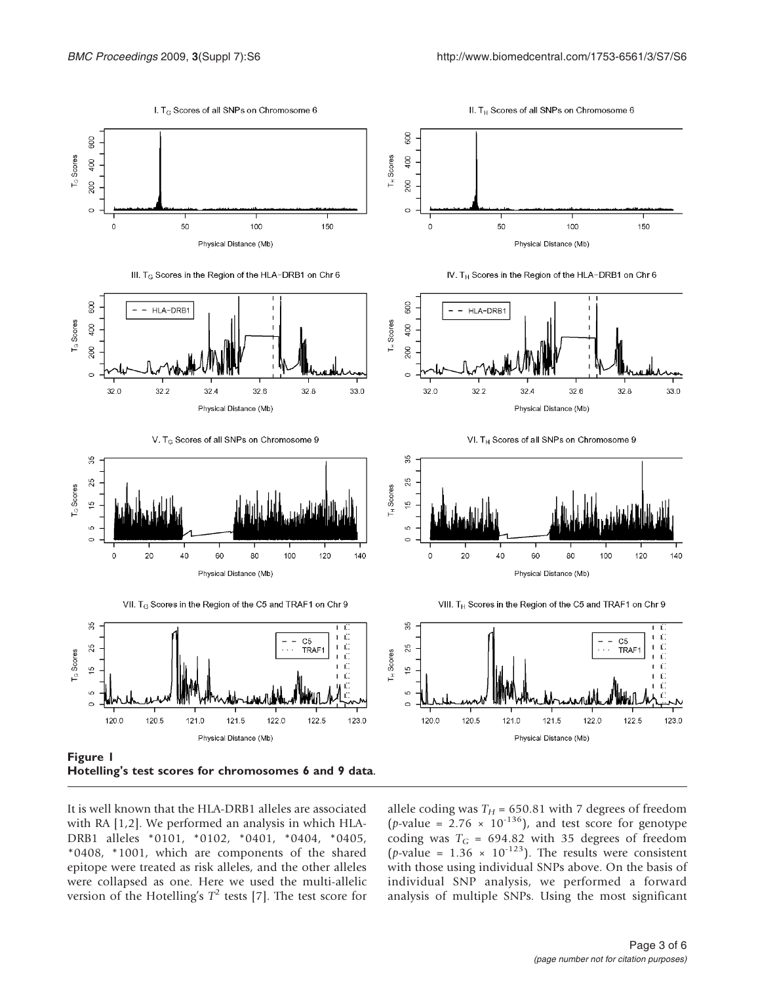<span id="page-2-0"></span>

It is well known that the HLA-DRB1 alleles are associated with RA [\[1,2\]](#page-5-0). We performed an analysis in which HLA-DRB1 alleles \*0101, \*0102, \*0401, \*0404, \*0405, \*0408, \*1001, which are components of the shared epitope were treated as risk alleles, and the other alleles were collapsed as one. Here we used the multi-allelic version of the Hotelling's  $T^2$  tests [[7](#page-5-0)]. The test score for

allele coding was  $T_H$  = 650.81 with 7 degrees of freedom (*p*-value =  $2.76 \times 10^{-136}$ ), and test score for genotype coding was  $T_G = 694.82$  with 35 degrees of freedom (*p*-value =  $1.36 \times 10^{-123}$ ). The results were consistent with those using individual SNPs above. On the basis of individual SNP analysis, we performed a forward analysis of multiple SNPs. Using the most significant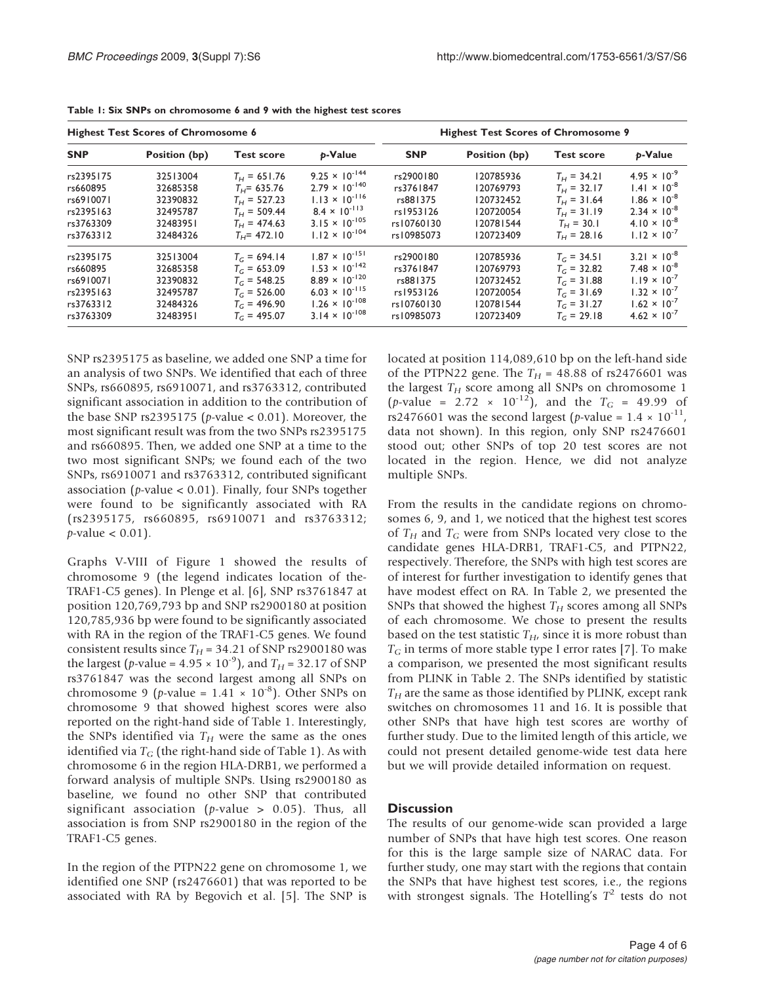| <b>Highest Test Scores of Chromosome 6</b> |               |                   |                         | <b>Highest Test Scores of Chromosome 9</b> |               |                   |                       |
|--------------------------------------------|---------------|-------------------|-------------------------|--------------------------------------------|---------------|-------------------|-----------------------|
| <b>SNP</b>                                 | Position (bp) | <b>Test score</b> | p-Value                 | <b>SNP</b>                                 | Position (bp) | <b>Test score</b> | p-Value               |
| rs2395175                                  | 32513004      | $T_H = 651.76$    | $9.25 \times 10^{-144}$ | rs2900180                                  | 120785936     | $T_H = 34.21$     | $4.95 \times 10^{-9}$ |
| rs660895                                   | 32685358      | $T_H$ = 635.76    | $2.79 \times 10^{-140}$ | rs3761847                                  | 120769793     | $T_H = 32.17$     | $1.41 \times 10^{-8}$ |
| rs6910071                                  | 32390832      | $T_H = 527.23$    | $1.13 \times 10^{-116}$ | rs881375                                   | 120732452     | $T_H = 31.64$     | $1.86 \times 10^{-8}$ |
| rs2395163                                  | 32495787      | $T_H = 509.44$    | $8.4 \times 10^{-113}$  | rs1953126                                  | 120720054     | $T_H = 31.19$     | $2.34 \times 10^{-8}$ |
| rs3763309                                  | 32483951      | $T_H = 474.63$    | $3.15 \times 10^{-105}$ | rs10760130                                 | 120781544     | $T_{H}$ = 30.1    | $4.10 \times 10^{-8}$ |
| rs3763312                                  | 32484326      | $T_H$ = 472.10    | $1.12 \times 10^{-104}$ | rs10985073                                 | 120723409     | $T_H = 28.16$     | $1.12 \times 10^{-7}$ |
| rs2395175                                  | 32513004      | $T_c = 694.14$    | $1.87 \times 10^{-151}$ | rs2900180                                  | 120785936     | $T_c = 34.51$     | $3.21 \times 10^{-8}$ |
| rs660895                                   | 32685358      | $T_c = 653.09$    | $1.53 \times 10^{-142}$ | rs3761847                                  | 120769793     | $T_c = 32.82$     | $7.48 \times 10^{-8}$ |
| rs6910071                                  | 32390832      | $T_c = 548.25$    | $8.89 \times 10^{-120}$ | rs881375                                   | 120732452     | $T_c = 31.88$     | $1.19 \times 10^{-7}$ |
| rs2395163                                  | 32495787      | $T_G = 526.00$    | $6.03 \times 10^{-115}$ | rs1953126                                  | 120720054     | $T_G = 31.69$     | $1.32 \times 10^{-7}$ |
| rs3763312                                  | 32484326      | $T_c = 496.90$    | $1.26 \times 10^{-108}$ | rs10760130                                 | 120781544     | $T_c = 31.27$     | $1.62 \times 10^{-7}$ |
| rs3763309                                  | 32483951      | $T_c = 495.07$    | $3.14 \times 10^{-108}$ | rs10985073                                 | 120723409     | $T_c = 29.18$     | $4.62 \times 10^{-7}$ |

<span id="page-3-0"></span>Table 1: Six SNPs on chromosome 6 and 9 with the highest test scores

SNP rs2395175 as baseline, we added one SNP a time for an analysis of two SNPs. We identified that each of three SNPs, rs660895, rs6910071, and rs3763312, contributed significant association in addition to the contribution of the base SNP rs2395175 ( $p$ -value < 0.01). Moreover, the most significant result was from the two SNPs rs2395175 and rs660895. Then, we added one SNP at a time to the two most significant SNPs; we found each of the two SNPs, rs6910071 and rs3763312, contributed significant association ( $p$ -value < 0.01). Finally, four SNPs together were found to be significantly associated with RA (rs2395175, rs660895, rs6910071 and rs3763312;  $p$ -value < 0.01).

Graphs V-VIII of Figure [1](#page-2-0) showed the results of chromosome 9 (the legend indicates location of the-TRAF1-C5 genes). In Plenge et al. [\[6\]](#page-5-0), SNP rs3761847 at position 120,769,793 bp and SNP rs2900180 at position 120,785,936 bp were found to be significantly associated with RA in the region of the TRAF1-C5 genes. We found consistent results since  $T_H$  = 34.21 of SNP rs2900180 was the largest (p-value =  $4.95 \times 10^{-9}$ ), and  $T_H = 32.17$  of SNP rs3761847 was the second largest among all SNPs on chromosome 9 (*p*-value =  $1.41 \times 10^{-8}$ ). Other SNPs on chromosome 9 that showed highest scores were also reported on the right-hand side of Table 1. Interestingly, the SNPs identified via  $T_H$  were the same as the ones identified via  $T_G$  (the right-hand side of Table 1). As with chromosome 6 in the region HLA-DRB1, we performed a forward analysis of multiple SNPs. Using rs2900180 as baseline, we found no other SNP that contributed significant association (*p*-value  $> 0.05$ ). Thus, all association is from SNP rs2900180 in the region of the TRAF1-C5 genes.

In the region of the PTPN22 gene on chromosome 1, we identified one SNP (rs2476601) that was reported to be associated with RA by Begovich et al. [[5](#page-5-0)]. The SNP is located at position 114,089,610 bp on the left-hand side of the PTPN22 gene. The  $T_H$  = 48.88 of rs2476601 was the largest  $T_H$  score among all SNPs on chromosome 1 (*p*-value = 2.72  $\times$  10<sup>-12</sup>), and the  $T_G$  = 49.99 of rs2476601 was the second largest (*p*-value =  $1.4 \times 10^{-11}$ , data not shown). In this region, only SNP rs2476601 stood out; other SNPs of top 20 test scores are not located in the region. Hence, we did not analyze multiple SNPs.

From the results in the candidate regions on chromosomes 6, 9, and 1, we noticed that the highest test scores of  $T_H$  and  $T_G$  were from SNPs located very close to the candidate genes HLA-DRB1, TRAF1-C5, and PTPN22, respectively. Therefore, the SNPs with high test scores are of interest for further investigation to identify genes that have modest effect on RA. In Table [2,](#page-4-0) we presented the SNPs that showed the highest  $T_H$  scores among all SNPs of each chromosome. We chose to present the results based on the test statistic  $T_H$ , since it is more robust than  $T_G$  in terms of more stable type I error rates [[7](#page-5-0)]. To make a comparison, we presented the most significant results from PLINK in Table [2](#page-4-0). The SNPs identified by statistic  $T_H$  are the same as those identified by PLINK, except rank switches on chromosomes 11 and 16. It is possible that other SNPs that have high test scores are worthy of further study. Due to the limited length of this article, we could not present detailed genome-wide test data here but we will provide detailed information on request.

# **Discussion**

The results of our genome-wide scan provided a large number of SNPs that have high test scores. One reason for this is the large sample size of NARAC data. For further study, one may start with the regions that contain the SNPs that have highest test scores, i.e., the regions with strongest signals. The Hotelling's  $T^2$  tests do not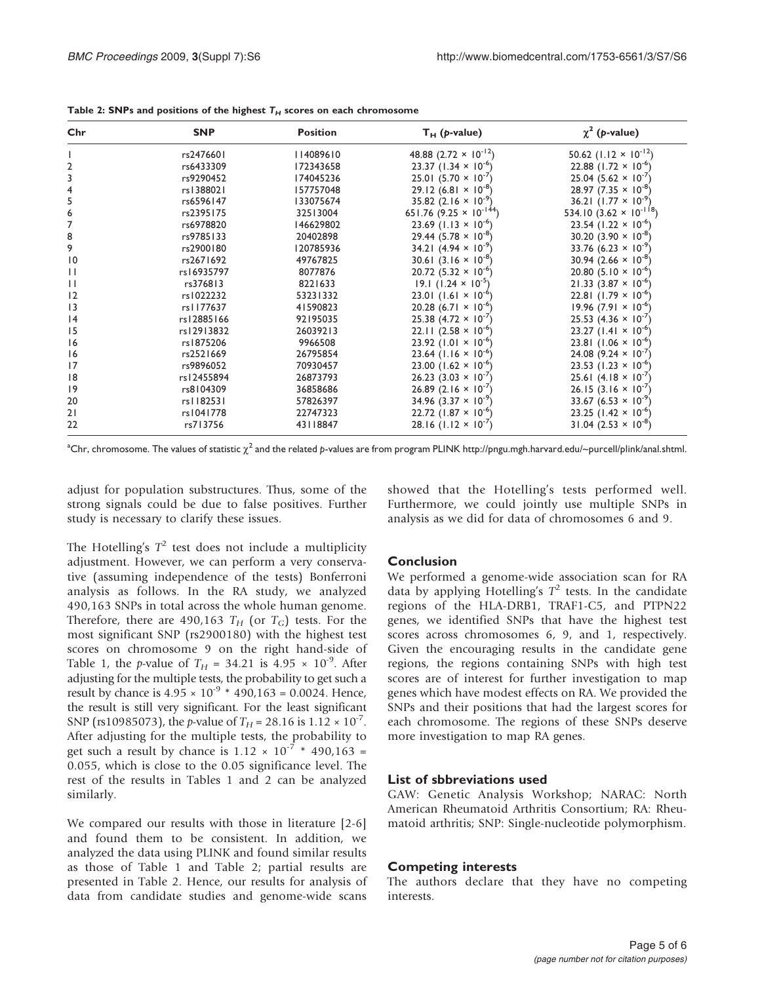| Chr             | <b>SNP</b> | <b>Position</b> | $T_H$ ( <i>p</i> -value)                  | $\chi^2$ (p-value)                        |
|-----------------|------------|-----------------|-------------------------------------------|-------------------------------------------|
|                 | rs2476601  | 114089610       | 48.88 $(2.72 \times 10^{-12})$            | 50.62 $(1.12 \times 10^{-12})$            |
| 2               | rs6433309  | 172343658       | 23.37 $(1.34 \times 10^{-6})$             | 22.88 $(1.72 \times 10^{-6})$             |
| 3               | rs9290452  | 174045236       | 25.01 $(5.70 \times 10^{-7})$             | 25.04 (5.62 $\times$ 10 <sup>-7</sup>     |
| 4               | rs1388021  | 157757048       | $29.12(6.81 \times 10^{-8})$              | $28.97(7.35 \times 10^{-8})$              |
| 5               | rs6596147  | 133075674       | 35.82 $(2.16 \times 10^{-9})$             | 36.21 $(1.77 \times 10^{-9})$             |
| 6               | rs2395175  | 32513004        | 651.76 $(9.25 \times 10^{-144})$          | 534.10 $(3.62 \times 10^{-18})$           |
| $\overline{7}$  | rs6978820  | 146629802       | 23.69 $(1.13 \times 10^{-6})$             | 23.54 $(1.22 \times 10^{-6})$             |
| 8               | rs9785133  | 20402898        | $29.44(5.78 \times 10^{-8})$              | 30.20 $(3.90 \times 10^{-8})$             |
| 9               | rs2900180  | 120785936       | 34.21 $(4.94 \times 10^{-9})$             | 33.76 $(6.23 \times 10^{-9})$             |
| $\overline{10}$ | rs2671692  | 49767825        | 30.61 $(3.16 \times 10^{-8})$             | 30.94 $(2.66 \times 10^{-8})$             |
| $\mathbf{H}$    | rs16935797 | 8077876         | $20.72$ (5.32 × 10 <sup>-6</sup> )        | 20.80 $(5.10 \times 10^{-6})$             |
| $\mathbf{1}$    | rs376813   | 8221633         | 19.1 $(1.24 \times 10^{-5})$              | $21.33(3.87 \times 10^{-6})$              |
| 12              | rs1022232  | 53231332        | 23.01 $(1.61 \times 10^{-6}$              | 22.81 $(1.79 \times 10^{-6})$             |
| 3               | rs1177637  | 41590823        | 20.28 $(6.71 \times 10^{-6})$             | $19.96(7.91 \times 10^{-6})$              |
| 4               | rs12885166 | 92195035        | 25.38 $(4.72 \times 10^{-7})$             | 25.53 (4.36 $\times$ 10 <sup>-7</sup>     |
| 15              | rs12913832 | 26039213        | 22.11 $(2.58 \times 10^{-6})$             | 23.27 $(1.41 \times 10^{-6})$             |
| 16              | rs1875206  | 9966508         | $23.92$ (1.01 × 10 <sup>-6</sup> )        | 23.81 $(1.06 \times 10^{-6})$             |
| 16              | rs2521669  | 26795854        | $23.64$ (1.16 $\times$ 10 <sup>-6</sup> ) | 24.08 $(9.24 \times 10^{-7})$             |
| 17              | rs9896052  | 70930457        | $23.00$ (1.62 × 10 <sup>-6</sup> )        | 23.53 $(1.23 \times 10^{-6})$             |
| 18              | rs12455894 | 26873793        | $26.23$ (3.03 $\times$ 10 <sup>-7</sup>   | 25.61 $(4.18 \times 10^{-7})$             |
| 9               | rs8104309  | 36858686        | 26.89 $(2.16 \times 10^{-7})$             | 26.15 $(3.16 \times 10^{-7})$             |
| 20              | rs1182531  | 57826397        | 34.96 $(3.37 \times 10^{-9})$             | 33.67 (6.53 $\times$ 10 <sup>-9</sup> )   |
| 21              | rs1041778  | 22747323        | $22.72$ (1.87 × 10 <sup>-6</sup> )        | 23.25 $(1.42 \times 10^{-6})$             |
| 22              | rs713756   | 43118847        | $28.16$ (1.12 $\times$ 10 <sup>-7</sup> ) | $31.04$ (2.53 $\times$ 10 <sup>-8</sup> ) |

<span id="page-4-0"></span>Table 2: SNPs and positions of the highest  $T_H$  scores on each chromosome

 $\mathrm{a_{Chr, chromosome}}$  . The values of statistic  $\chi^2$  and the related p-values are from program PLINK [http://pngu.mgh.harvard.edu/~purcell/plink/anal.shtml](mailto:lianfuch@stat.tamu.edu).

adjust for population substructures. Thus, some of the strong signals could be due to false positives. Further study is necessary to clarify these issues.

The Hotelling's  $T^2$  test does not include a multiplicity adjustment. However, we can perform a very conservative (assuming independence of the tests) Bonferroni analysis as follows. In the RA study, we analyzed 490,163 SNPs in total across the whole human genome. Therefore, there are 490,163  $T_H$  (or  $T_G$ ) tests. For the most significant SNP (rs2900180) with the highest test scores on chromosome 9 on the right hand-side of Table [1](#page-3-0), the p-value of  $T_H = 34.21$  is  $4.95 \times 10^{-9}$ . After adjusting for the multiple tests, the probability to get such a result by chance is  $4.95 \times 10^{-9}$  \*  $490,163 = 0.0024$ . Hence, the result is still very significant. For the least significant SNP (rs10985073), the *p*-value of  $T_H = 28.16$  is  $1.12 \times 10^{-7}$ . After adjusting for the multiple tests, the probability to get such a result by chance is  $1.12 \times 10^{-7}$  \* 490,163 = 0.055, which is close to the 0.05 significance level. The rest of the results in Tables [1](#page-3-0) and 2 can be analyzed similarly.

We compared our results with those in literature [[2-6\]](#page-5-0) and found them to be consistent. In addition, we analyzed the data using PLINK and found similar results as those of Table [1](#page-3-0) and Table 2; partial results are presented in Table 2. Hence, our results for analysis of data from candidate studies and genome-wide scans showed that the Hotelling's tests performed well. Furthermore, we could jointly use multiple SNPs in analysis as we did for data of chromosomes 6 and 9.

## Conclusion

We performed a genome-wide association scan for RA data by applying Hotelling's  $T^2$  tests. In the candidate regions of the HLA-DRB1, TRAF1-C5, and PTPN22 genes, we identified SNPs that have the highest test scores across chromosomes 6, 9, and 1, respectively. Given the encouraging results in the candidate gene regions, the regions containing SNPs with high test scores are of interest for further investigation to map genes which have modest effects on RA. We provided the SNPs and their positions that had the largest scores for each chromosome. The regions of these SNPs deserve more investigation to map RA genes.

#### List of sbbreviations used

GAW: Genetic Analysis Workshop; NARAC: North American Rheumatoid Arthritis Consortium; RA: Rheumatoid arthritis; SNP: Single-nucleotide polymorphism.

#### Competing interests

The authors declare that they have no competing interests.